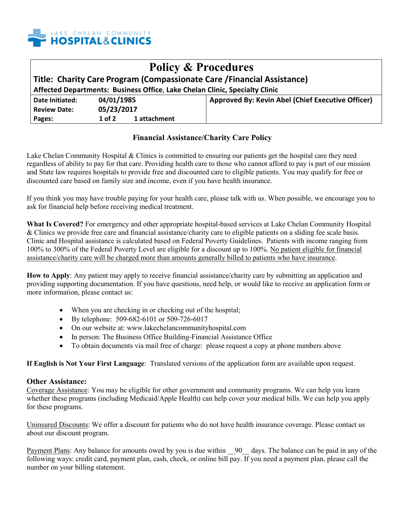

| <b>Policy &amp; Procedures</b>                                              |                        |                                                   |
|-----------------------------------------------------------------------------|------------------------|---------------------------------------------------|
| Title: Charity Care Program (Compassionate Care / Financial Assistance)     |                        |                                                   |
| Affected Departments: Business Office, Lake Chelan Clinic, Specialty Clinic |                        |                                                   |
| Date Initiated:                                                             | 04/01/1985             | Approved By: Kevin Abel (Chief Executive Officer) |
| <b>Review Date:</b>                                                         | 05/23/2017             |                                                   |
| Pages:                                                                      | 1 attachment<br>1 of 2 |                                                   |

## **Financial Assistance/Charity Care Policy**

Lake Chelan Community Hospital & Clinics is committed to ensuring our patients get the hospital care they need regardless of ability to pay for that care. Providing health care to those who cannot afford to pay is part of our mission and State law requires hospitals to provide free and discounted care to eligible patients. You may qualify for free or discounted care based on family size and income, even if you have health insurance.

If you think you may have trouble paying for your health care, please talk with us. When possible, we encourage you to ask for financial help before receiving medical treatment.

**What Is Covered?** For emergency and other appropriate hospital-based services at Lake Chelan Community Hospital & Clinics we provide free care and financial assistance/charity care to eligible patients on a sliding fee scale basis. Clinic and Hospital assistance is calculated based on Federal Poverty Guidelines. Patients with income ranging from 100% to 300% of the Federal Poverty Level are eligible for a discount up to 100%. No patient eligible for financial assistance/charity care will be charged more than amounts generally billed to patients who have insurance.

**How to Apply**: Any patient may apply to receive financial assistance/charity care by submitting an application and providing supporting documentation. If you have questions, need help, or would like to receive an application form or more information, please contact us:

- When you are checking in or checking out of the hospital;
- By telephone: 509-682-6101 or 509-726-6017
- On our website at: www.lakechelancommunityhospital.com
- In person: The Business Office Building-Financial Assistance Office
- To obtain documents via mail free of charge: please request a copy at phone numbers above

**If English is Not Your First Language**: Translated versions of the application form are available upon request.

## **Other Assistance:**

Coverage Assistance: You may be eligible for other government and community programs. We can help you learn whether these programs (including Medicaid/Apple Health) can help cover your medical bills. We can help you apply for these programs.

Uninsured Discounts: We offer a discount for patients who do not have health insurance coverage. Please contact us about our discount program.

Payment Plans: Any balance for amounts owed by you is due within \_90\_ days. The balance can be paid in any of the following ways: credit card, payment plan, cash, check, or online bill pay. If you need a payment plan, please call the number on your billing statement.